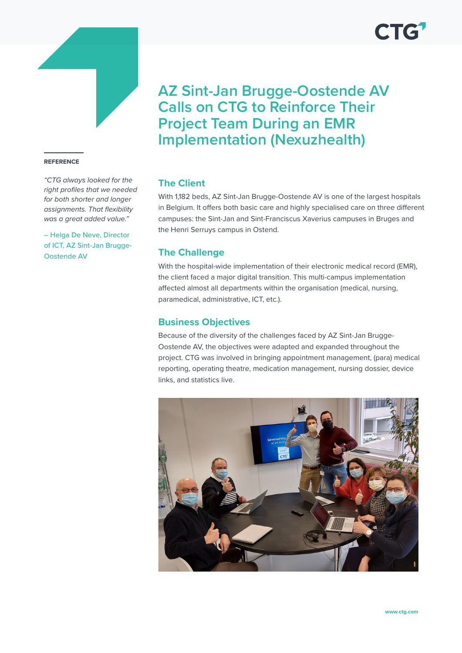

#### **REFERENCE**

*"CTG always looked for the right profiles that we needed for both shorter and longer assignments. That flexibility was a great added value."* 

– Helga De Neve, Director of ICT, AZ Sint-Jan Brugge-Oostende AV

# **AZ Sint-Jan Brugge-Oostende AV Calls on CTG to Reinforce Their Project Team During an EMR Implementation (Nexuzhealth)**

## **The Client**

With 1,182 beds, AZ Sint-Jan Brugge-Oostende AV is one of the largest hospitals in Belgium. It offers both basic care and highly specialised care on three different campuses: the Sint-Jan and Sint-Franciscus Xaverius campuses in Bruges and the Henri Serruys campus in Ostend.

#### **The Challenge**

With the hospital-wide implementation of their electronic medical record (EMR), the client faced a major digital transition. This multi-campus implementation affected almost all departments within the organisation (medical, nursing, paramedical, administrative, ICT, etc.).

#### **Business Objectives**

Because of the diversity of the challenges faced by AZ Sint-Jan Brugge-Oostende AV, the objectives were adapted and expanded throughout the project. CTG was involved in bringing appointment management, (para) medical reporting, operating theatre, medication management, nursing dossier, device links, and statistics live.